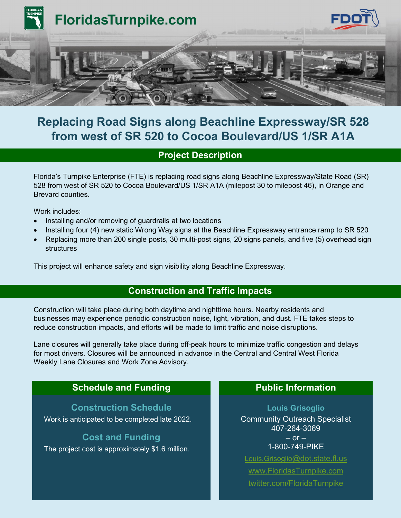

# **Replacing Road Signs along Beachline Expressway/SR 528 from west of SR 520 to Cocoa Boulevard/US 1/SR A1A**

# **Project Description**

Florida's Turnpike Enterprise (FTE) is replacing road signs along Beachline Expressway/State Road (SR) 528 from west of SR 520 to Cocoa Boulevard/US 1/SR A1A (milepost 30 to milepost 46), in Orange and Brevard counties.

Work includes:

- Installing and/or removing of guardrails at two locations
- Installing four (4) new static Wrong Way signs at the Beachline Expressway entrance ramp to SR 520
- Replacing more than 200 single posts, 30 multi-post signs, 20 signs panels, and five (5) overhead sign structures

This project will enhance safety and sign visibility along Beachline Expressway.

#### **Construction and Traffic Impacts**

Construction will take place during both daytime and nighttime hours. Nearby residents and businesses may experience periodic construction noise, light, vibration, and dust. FTE takes steps to reduce construction impacts, and efforts will be made to limit traffic and noise disruptions.

Lane closures will generally take place during off-peak hours to minimize traffic congestion and delays for most drivers. Closures will be announced in advance in the Central and Central West Florida Weekly Lane Closures and Work Zone Advisory.

## **Schedule and Funding The Public Information**

**Construction Schedule**

Work is anticipated to be completed late 2022.

### **Cost and Funding**

The project cost is approximately \$1.6 million.

**Louis Grisoglio** Community Outreach Specialist 407-264-3069  $-$  or  $-$ 1-800-749-PIKE

[Louis.Grisoglio@dot.state.fl.us](mailto:Louis.Grisoglio@dot.state.fl.us) [www.FloridasTurnpike.com](http://www.floridasturnpike.com/) [twitter.com/FloridaTurnpike](https://twitter.com/FloridaTurnpike)